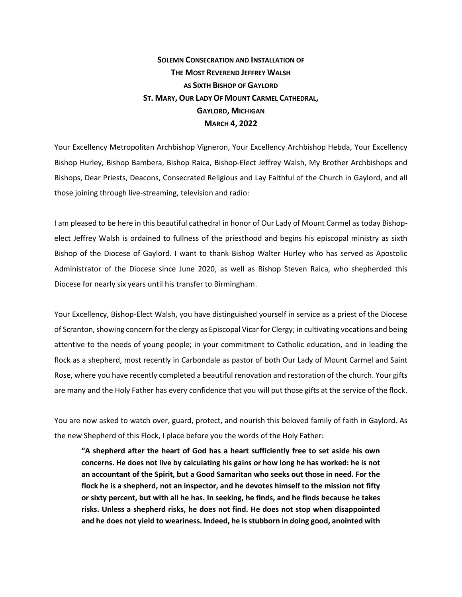## **SOLEMN CONSECRATION AND INSTALLATION OF THE MOST REVEREND JEFFREY WALSH AS SIXTH BISHOP OF GAYLORD ST. MARY, OUR LADY OF MOUNT CARMEL CATHEDRAL, GAYLORD, MICHIGAN MARCH 4, 2022**

Your Excellency Metropolitan Archbishop Vigneron, Your Excellency Archbishop Hebda, Your Excellency Bishop Hurley, Bishop Bambera, Bishop Raica, Bishop-Elect Jeffrey Walsh, My Brother Archbishops and Bishops, Dear Priests, Deacons, Consecrated Religious and Lay Faithful of the Church in Gaylord, and all those joining through live-streaming, television and radio:

I am pleased to be here in this beautiful cathedral in honor of Our Lady of Mount Carmel as today Bishopelect Jeffrey Walsh is ordained to fullness of the priesthood and begins his episcopal ministry as sixth Bishop of the Diocese of Gaylord. I want to thank Bishop Walter Hurley who has served as Apostolic Administrator of the Diocese since June 2020, as well as Bishop Steven Raica, who shepherded this Diocese for nearly six years until his transfer to Birmingham.

Your Excellency, Bishop-Elect Walsh, you have distinguished yourself in service as a priest of the Diocese of Scranton, showing concern for the clergy as Episcopal Vicar for Clergy; in cultivating vocations and being attentive to the needs of young people; in your commitment to Catholic education, and in leading the flock as a shepherd, most recently in Carbondale as pastor of both Our Lady of Mount Carmel and Saint Rose, where you have recently completed a beautiful renovation and restoration of the church. Your gifts are many and the Holy Father has every confidence that you will put those gifts at the service of the flock.

You are now asked to watch over, guard, protect, and nourish this beloved family of faith in Gaylord. As the new Shepherd of this Flock, I place before you the words of the Holy Father:

**"A shepherd after the heart of God has a heart sufficiently free to set aside his own concerns. He does not live by calculating his gains or how long he has worked: he is not an accountant of the Spirit, but a Good Samaritan who seeks out those in need. For the flock he is a shepherd, not an inspector, and he devotes himself to the mission not fifty or sixty percent, but with all he has. In seeking, he finds, and he finds because he takes risks. Unless a shepherd risks, he does not find. He does not stop when disappointed and he does not yield to weariness. Indeed, he is stubborn in doing good, anointed with**